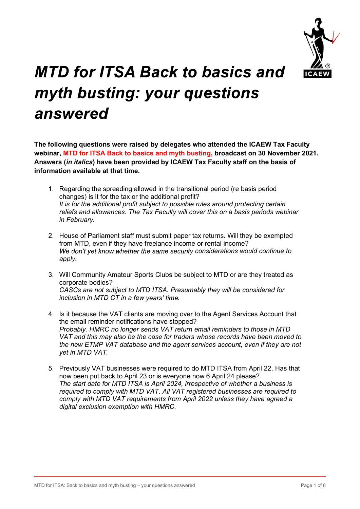

## TD for ITSA Back to basics and Windows and Windows (For the space of the transitional period in the transitional period in the transitional period changes) is it for the transitional period (re basis period changes) is it **D for ITSA Back to basics and Info Institute of the tax or the tax or the tax or the tax or the tax or the original profit of the tax or the additional profit?<br>
Figures) is it for the tax or the additional profit?<br>
Regard D for ITSA Back to basics and the additional profit Subject to possible rules around the lCAEW Tax Faculty will guestions were raised by delegates who attended the ICAEW Tax Faculty will profit TSA Back to basics and myt D for ITSA Back to basics and allowances.**<br> **The busting: your questions**<br>
SWered<br>
SWEFED<br>
SWEFED<br>
SWEFED<br>
SWEFED<br>
MITO for ITSA Back to basics and myth busting, broadcast on 30 November 2021.<br> *MITO for ITSA Back to bas* **yth busting: your questions**<br> **2. House of Parliamental State of Parliamental State of Parliamental STAN THEON TAX Faculty**<br>
1. Regarding the spreading allowed by ICAEW Tax Faculty staff on the basis of<br>
1. Regarding the

The following questions were raised by delegates who attended the ICAEW Tax Faculty webinar, MTD for ITSA Back to basics and myth busting, broadcast on 30 November 2021. Answers (in italics) have been provided by ICAEW Tax Faculty staff on the basis of information available at that time.

- in February. **Solution**<br> **Solution** Solutions were raised by delegates who attended the ICAEW Tax Faculty<br>
Innar, MTD for ITSA Back to basics and myth busting, broadcast on 30 November 2021.<br>
Wers (*in italics*) have been provided by
- from MTD, even if they have freelance income or rental income? We don't yet know whether the same security considerations would continue to apply.
- corporate bodies? CASCs are not subject to MTD ITSA. Presumably they will be considered for
- inclusion in MTD CT in a few years' time.<br>
A few strategies and the transitional period (re basis period<br>
thats are the aditional profit subset of the transitional period (re basis period<br>
this for the additional profit su the email reminder notifications have stopped? Regarding the spreading allowed in the transitional period (re basis period<br>changes) is it for the tax or the additional profit?<br>
this for the additional profit subject to possible rules around protecting certain<br>
reliefs Regarding the spreading allowed in the transitional period (re basis period<br>changes) is it for the atax for the additional profit?<br> *His for the additional profits usiged to possible rules around protecting certain<br>
relief* Regarding the spreading allowed in the transitional period (re basis period<br>
relanges) is it for the tax or the additional profit?<br> *It is for the additional profit subject to possible rules around protecting certain<br>
in F* changes) is it for the tax or the additional profit?<br>
this for the additional profit subject to possible rules around protecting certain<br>
this for the additional profit subject to possible rules around protecting certain<br> reliefs and allowances. The Tax Faculty will cover this on a basis periods webinar<br>
2. House of Parliament staff must submit paper tax returns. Will they be exempted<br>
from MTD, even if they have freelance income or rental House of Parliament staff must submit paper tax returns. Will they be exempted<br>from MTD, even if they have freelance income or rental income?<br>We don't yet know whether the same security considerations would continue to<br>Wil from MTD, even if they have freelance income or rental income?<br>We don't yet know whether the same security considerations would continue to<br>apply.<br>Will Community Amateur Sports Clubs be subject to MTD or are they treated a We don't yet know whether the same security considerations would continue to<br>enply.<br>Will Community Amateur Sports Clubs be subject to MTD or are they treated as<br>corporate bodies?<br>CASCs are not subject to MTD ITSA. Presumab
- Probably. HMRC no longer sends VAT return email reminders to those in MTD<br>VAT and this may also be the case for traders whose records have been moved to<br>the new ETMP VAT database and the agent services account, even if th now been put back to April 23 or is everyone now 6 April 24 please? required to comply with MTD VAT. All VAT registered businesses are required to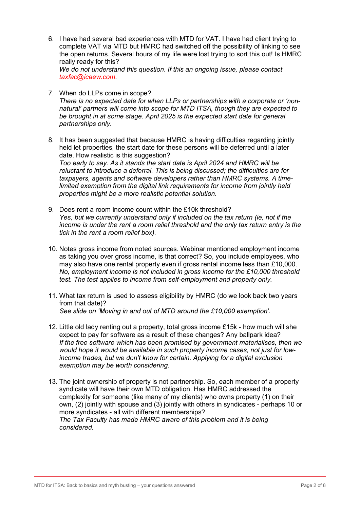- 6. I have had several bad experiences with MTD for VAT. I have had client trying to complete VAT via MTD but HMRC had switched off the possibility of linking to see the open returns. Several hours of my life were lost trying to sort this out! Is HMRC really ready for this? We do not understand this question. If this an ongoing issue, please contact taxfac@icaew.com.
- 7. When do LLPs come in scope? There is no expected date for when LLPs or partnerships with a corporate or 'nonnatural' partners will come into scope for MTD ITSA, though they are expected to be brought in at some stage. April 2025 is the expected start date for general partnerships only.
- 8. It has been suggested that because HMRC is having difficulties regarding jointly held let properties, the start date for these persons will be deferred until a later date. How realistic is this suggestion? Too early to say. As it stands the start date is April 2024 and HMRC will be reluctant to introduce a deferral. This is being discussed; the difficulties are for taxpayers, agents and software developers rather than HMRC systems. A timelimited exemption from the digital link requirements for income from jointly held properties might be a more realistic potential solution.
- 9. Does rent a room income count within the £10k threshold? Yes, but we currently understand only if included on the tax return (ie, not if the income is under the rent a room relief threshold and the only tax return entry is the tick in the rent a room relief box).
- 10. Notes gross income from noted sources. Webinar mentioned employment income as taking you over gross income, is that correct? So, you include employees, who may also have one rental property even if gross rental income less than £10,000. No, employment income is not included in gross income for the £10,000 threshold test. The test applies to income from self-employment and property only.
- 11. What tax return is used to assess eligibility by HMRC (do we look back two years from that date)? See slide on 'Moving in and out of MTD around the £10,000 exemption'.
- 12. Little old lady renting out a property, total gross income £15k how much will she expect to pay for software as a result of these changes? Any ballpark idea? If the free software which has been promised by government materialises, then we would hope it would be available in such property income cases, not just for lowincome trades, but we don't know for certain. Applying for a digital exclusion exemption may be worth considering.
- 13. The joint ownership of property is not partnership. So, each member of a property syndicate will have their own MTD obligation. Has HMRC addressed the complexity for someone (like many of my clients) who owns property (1) on their own, (2) jointly with spouse and (3) jointly with others in syndicates - perhaps 10 or more syndicates - all with different memberships? The Tax Faculty has made HMRC aware of this problem and it is being considered.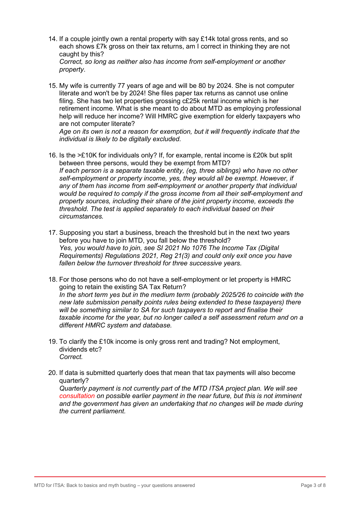- 14. If a couple jointly own a rental property with say £14k total gross rents, and so each shows £7k gross on their tax returns, am I correct in thinking they are not caught by this? Correct, so long as neither also has income from self-employment or another
- property. 15. My wife is currently 77 years of age and will be 80 by 2024. She is not computer literate and won't be by 2024! She files paper tax returns as cannot use online filing. She has two let properties grossing c£25k rental income which is her retirement income. What is she meant to do about MTD as employing professional help will reduce her income? Will HMRC give exemption for elderly taxpayers who are not computer literate?

Age on its own is not a reason for exemption, but it will frequently indicate that the individual is likely to be digitally excluded.

- 16. Is the >£10K for individuals only? If, for example, rental income is £20k but split between three persons, would they be exempt from MTD? If each person is a separate taxable entity, (eg, three siblings) who have no other self-employment or property income, yes, they would all be exempt. However, if any of them has income from self-employment or another property that individual would be required to comply if the gross income from all their self-employment and property sources, including their share of the joint property income, exceeds the threshold. The test is applied separately to each individual based on their circumstances.
- 17. Supposing you start a business, breach the threshold but in the next two years before you have to join MTD, you fall below the threshold? Yes, you would have to join, see SI 2021 No 1076 The Income Tax (Digital Requirements) Regulations 2021, Reg 21(3) and could only exit once you have fallen below the turnover threshold for three successive years.
- 18. For those persons who do not have a self-employment or let property is HMRC going to retain the existing SA Tax Return? In the short term yes but in the medium term (probably 2025/26 to coincide with the new late submission penalty points rules being extended to these taxpayers) there will be something similar to SA for such taxpayers to report and finalise their taxable income for the year, but no longer called a self assessment return and on a different HMRC system and database.
- 19. To clarify the £10k income is only gross rent and trading? Not employment, dividends etc? Correct.
- 20. If data is submitted quarterly does that mean that tax payments will also become quarterly?

Quarterly payment is not currently part of the MTD ITSA project plan. We will see consultation on possible earlier payment in the near future, but this is not imminent and the government has given an undertaking that no changes will be made during the current parliament.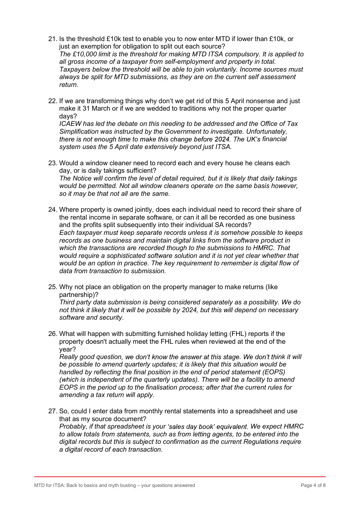- 21. Is the threshold £10k test to enable you to now enter MTD if lower than £10k, or just an exemption for obligation to split out each source? The £10,000 limit is the threshold for making MTD ITSA compulsory. It is applied to all gross income of a taxpayer from self-employment and property in total. Taxpayers below the threshold will be able to join voluntarily. Income sources must always be split for MTD submissions, as they are on the current self assessment return.
- 22. If we are transforming things why don't we get rid of this 5 April nonsense and just make it 31 March or if we are wedded to traditions why not the proper quarter days?

ICAEW has led the debate on this needing to be addressed and the Office of Tax Simplification was instructed by the Government to investigate. Unfortunately, there is not enough time to make this change before 2024. The UK's financial system uses the 5 April date extensively beyond just ITSA.

- 23. Would a window cleaner need to record each and every house he cleans each day, or is daily takings sufficient? The Notice will confirm the level of detail required, but it is likely that daily takings would be permitted. Not all window cleaners operate on the same basis however, so it may be that not all are the same.
- 24. Where property is owned jointly, does each individual need to record their share of the rental income in separate software, or can it all be recorded as one business and the profits split subsequently into their individual SA records? Each taxpayer must keep separate records unless it is somehow possible to keeps records as one business and maintain digital links from the software product in which the transactions are recorded though to the submissions to HMRC. That would require a sophisticated software solution and it is not yet clear whether that would be an option in practice. The key requirement to remember is digital flow of data from transaction to submission.<br>25. Why not place an obligation on the property manager to make returns (like
- partnership)?

Third party data submission is being considered separately as a possibility. We do not think it likely that it will be possible by 2024, but this will depend on necessary software and security.

26. What will happen with submitting furnished holiday letting (FHL) reports if the property doesn't actually meet the FHL rules when reviewed at the end of the year?

Really good question, we don't know the answer at this stage. We don't think it will be possible to amend quarterly updates; it is likely that this situation would be handled by reflecting the final position in the end of period statement (EOPS) (which is independent of the quarterly updates). There will be a facility to amend EOPS in the period up to the finalisation process; after that the current rules for amending a tax return will apply.<br>27. So, could I enter data from monthly rental statements into a spreadsheet and use

that as my source document? Probably, if that spreadsheet is your 'sales day book' equivalent. We expect HMRC to allow totals from statements, such as from letting agents, to be entered into the digital records but this is subject to confirmation as the current Regulations require a digital record of each transaction.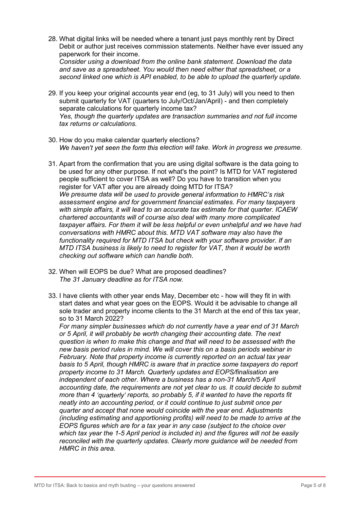28. What digital links will be needed where a tenant just pays monthly rent by Direct Debit or author just receives commission statements. Neither have ever issued any paperwork for their income. Consider using a download from the online bank statement. Download the data

and save as a spreadsheet. You would then need either that spreadsheet, or a second linked one which is API enabled, to be able to upload the quarterly update.

- 29. If you keep your original accounts year end (eg, to 31 July) will you need to then submit quarterly for VAT (quarters to July/Oct/Jan/April) - and then completely separate calculations for quarterly income tax? Yes, though the quarterly updates are transaction summaries and not full income tax returns or calculations.
- 30. How do you make calendar quarterly elections?
- We haven't yet seen the form this election will take. Work in progress we presume.<br>31. Apart from the confirmation that you are using digital software is the data going to be used for any other purpose. If not what's the point? Is MTD for VAT registered people sufficient to cover ITSA as well? Do you have to transition when you register for VAT after you are already doing MTD for ITSA? We presume data will be used to provide general information to HMRC's risk assessment engine and for government financial estimates. For many taxpayers with simple affairs, it will lead to an accurate tax estimate for that quarter. ICAEW chartered accountants will of course also deal with many more complicated taxpayer affairs. For them it will be less helpful or even unhelpful and we have had conversations with HMRC about this. MTD VAT software may also have the functionality required for MTD ITSA but check with your software provider. If an MTD ITSA business is likely to need to register for VAT, then it would be worth checking out software which can handle both.
- 32. When will EOPS be due? What are proposed deadlines? The 31 January deadline as for ITSA now.
- 33. I have clients with other year ends May, December etc how will they fit in with start dates and what year goes on the EOPS. Would it be advisable to change all sole trader and property income clients to the 31 March at the end of this tax year, so to 31 March 2022?

For many simpler businesses which do not currently have a year end of 31 March or 5 April, it will probably be worth changing their accounting date. The next question is when to make this change and that will need to be assessed with the new basis period rules in mind. We will cover this on a basis periods webinar in February. Note that property income is currently reported on an actual tax year basis to 5 April, though HMRC is aware that in practice some taxpayers do report property income to 31 March. Quarterly updates and EOPS/finalisation are independent of each other. Where a business has a non-31 March/5 April accounting date, the requirements are not yet clear to us. It could decide to submit more than 4 'quarterly' reports, so probably 5, if it wanted to have the reports fit neatly into an accounting period, or it could continue to just submit once per quarter and accept that none would coincide with the year end. Adjustments (including estimating and apportioning profits) will need to be made to arrive at the EOPS figures which are for a tax year in any case (subject to the choice over which tax year the 1-5 April period is included in) and the figures will not be easily reconciled with the quarterly updates. Clearly more guidance will be needed from HMRC in this area.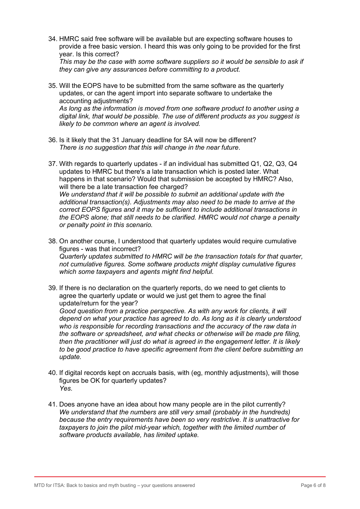34. HMRC said free software will be available but are expecting software houses to provide a free basic version. I heard this was only going to be provided for the first year. Is this correct? This may be the case with some software suppliers so it would be sensible to ask if

they can give any assurances before committing to a product.

- 35. Will the EOPS have to be submitted from the same software as the quarterly updates, or can the agent import into separate software to undertake the accounting adjustments? As long as the information is moved from one software product to another using a digital link, that would be possible. The use of different products as you suggest is likely to be common where an agent is involved.
- 36. Is it likely that the 31 January deadline for SA will now be different?
- There is no suggestion that this will change in the near future.<br>37. With regards to quarterly updates if an individual has submitted Q1, Q2, Q3, Q4 updates to HMRC but there's a late transaction which is posted later. What happens in that scenario? Would that submission be accepted by HMRC? Also, will there be a late transaction fee charged? We understand that it will be possible to submit an additional update with the additional transaction(s). Adjustments may also need to be made to arrive at the correct EOPS figures and it may be sufficient to include additional transactions in the EOPS alone; that still needs to be clarified. HMRC would not charge a penalty or penalty point in this scenario.
- 38. On another course, I understood that quarterly updates would require cumulative figures - was that incorrect? Quarterly updates submitted to HMRC will be the transaction totals for that quarter, not cumulative figures. Some software products might display cumulative figures which some taxpayers and agents might find helpful.
- 39. If there is no declaration on the quarterly reports, do we need to get clients to agree the quarterly update or would we just get them to agree the final update/return for the year? Good question from a practice perspective. As with any work for clients, it will depend on what your practice has agreed to do. As long as it is clearly understood who is responsible for recording transactions and the accuracy of the raw data in the software or spreadsheet, and what checks or otherwise will be made pre filing, then the practitioner will just do what is agreed in the engagement letter. It is likely to be good practice to have specific agreement from the client before submitting an update.
- 40. If digital records kept on accruals basis, with (eg, monthly adjustments), will those figures be OK for quarterly updates? Yes.
- 41. Does anyone have an idea about how many people are in the pilot currently? We understand that the numbers are still very small (probably in the hundreds) because the entry requirements have been so very restrictive. It is unattractive for taxpayers to join the pilot mid-year which, together with the limited number of software products available, has limited uptake.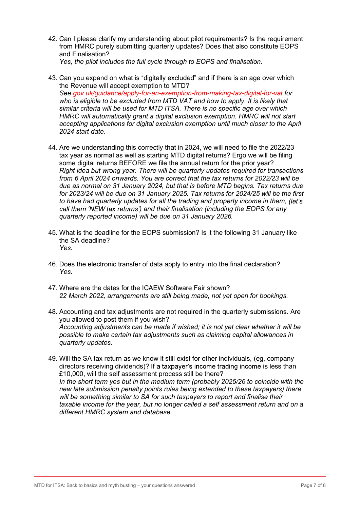- 42. Can I please clarify my understanding about pilot requirements? Is the requirement from HMRC purely submitting quarterly updates? Does that also constitute EOPS and Finalisation? Yes, the pilot includes the full cycle through to EOPS and finalisation.
- 43. Can you expand on what is "digitally excluded" and if there is an age over which the Revenue will accept exemption to MTD? See gov.uk/guidance/apply-for-an-exemption-from-making-tax-digital-for-vat for who is eligible to be excluded from MTD VAT and how to apply. It is likely that similar criteria will be used for MTD ITSA. There is no specific age over which HMRC will automatically grant a digital exclusion exemption. HMRC will not start accepting applications for digital exclusion exemption until much closer to the April 2024 start date.
- 44. Are we understanding this correctly that in 2024, we will need to file the 2022/23 tax year as normal as well as starting MTD digital returns? Ergo we will be filing some digital returns BEFORE we file the annual return for the prior year? Right idea but wrong year. There will be quarterly updates required for transactions from 6 April 2024 onwards. You are correct that the tax returns for 2022/23 will be due as normal on 31 January 2024, but that is before MTD begins. Tax returns due for 2023/24 will be due on 31 January 2025. Tax returns for 2024/25 will be the first to have had quarterly updates for all the trading and property income in them, (let's call them 'NEW tax returns') and their finalisation (including the EOPS for any quarterly reported income) will be due on 31 January 2026.
- 45. What is the deadline for the EOPS submission? Is it the following 31 January like the SA deadline? Yes.
- 46. Does the electronic transfer of data apply to entry into the final declaration? Yes.
- 47. Where are the dates for the ICAEW Software Fair shown? 22 March 2022, arrangements are still being made, not yet open for bookings.
- 48. Accounting and tax adjustments are not required in the quarterly submissions. Are you allowed to post them if you wish? Accounting adjustments can be made if wished; it is not yet clear whether it will be possible to make certain tax adjustments such as claiming capital allowances in quarterly updates.
- 49. Will the SA tax return as we know it still exist for other individuals, (eg, company directors receiving dividends)? If a taxpayer's income trading income is less than £10,000, will the self assessment process still be there? In the short term yes but in the medium term (probably 2025/26 to coincide with the new late submission penalty points rules being extended to these taxpayers) there will be something similar to SA for such taxpayers to report and finalise their taxable income for the year, but no longer called a self assessment return and on a different HMRC system and database.